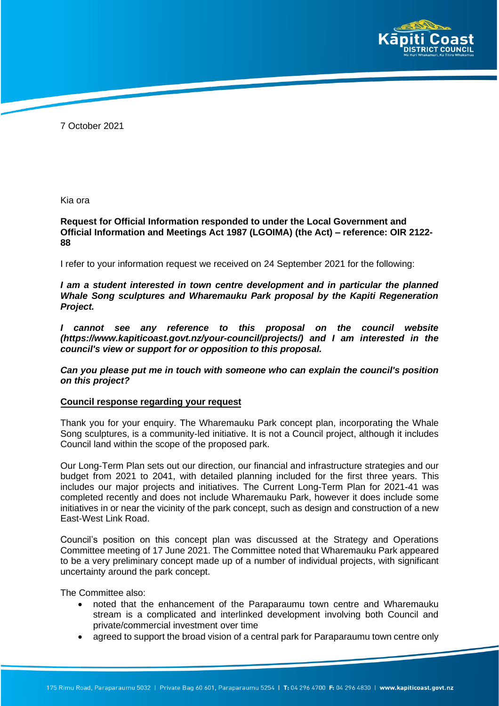

7 October 2021

Kia ora

**Request for Official Information responded to under the Local Government and Official Information and Meetings Act 1987 (LGOIMA) (the Act) – reference: OIR 2122- 88**

I refer to your information request we received on 24 September 2021 for the following:

*I am a student interested in town centre development and in particular the planned Whale Song sculptures and Wharemauku Park proposal by the Kapiti Regeneration Project.* 

*I cannot see any reference to this proposal on the council website (https://www.kapiticoast.govt.nz/your-council/projects/) and I am interested in the council's view or support for or opposition to this proposal.* 

*Can you please put me in touch with someone who can explain the council's position on this project?* 

## **Council response regarding your request**

Thank you for your enquiry. The Wharemauku Park concept plan, incorporating the Whale Song sculptures, is a community-led initiative. It is not a Council project, although it includes Council land within the scope of the proposed park.

Our Long-Term Plan sets out our direction, our financial and infrastructure strategies and our budget from 2021 to 2041, with detailed planning included for the first three years. This includes our major projects and initiatives. The Current Long-Term Plan for 2021-41 was completed recently and does not include Wharemauku Park, however it does include some initiatives in or near the vicinity of the park concept, such as design and construction of a new East-West Link Road.

Council's position on this concept plan was discussed at the Strategy and Operations Committee meeting of 17 June 2021. The Committee noted that Wharemauku Park appeared to be a very preliminary concept made up of a number of individual projects, with significant uncertainty around the park concept.

The Committee also:

- noted that the enhancement of the Paraparaumu town centre and Wharemauku stream is a complicated and interlinked development involving both Council and private/commercial investment over time
- agreed to support the broad vision of a central park for Paraparaumu town centre only